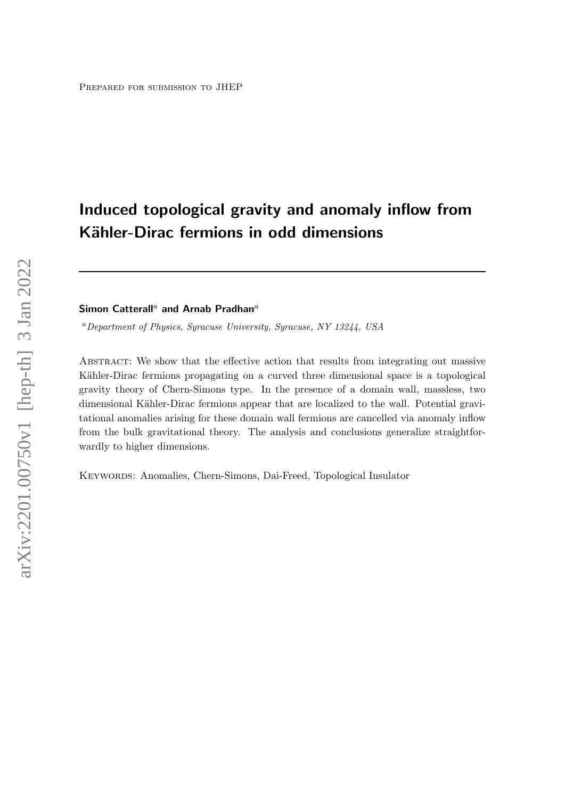# Induced topological gravity and anomaly inflow from Kähler-Dirac fermions in odd dimensions

# Simon Catterall<sup>a</sup> and Arnab Pradhan<sup>a</sup>

<sup>a</sup>Department of Physics, Syracuse University, Syracuse, NY 13244, USA

Abstract: We show that the effective action that results from integrating out massive Kähler-Dirac fermions propagating on a curved three dimensional space is a topological gravity theory of Chern-Simons type. In the presence of a domain wall, massless, two dimensional Kähler-Dirac fermions appear that are localized to the wall. Potential gravitational anomalies arising for these domain wall fermions are cancelled via anomaly inflow from the bulk gravitational theory. The analysis and conclusions generalize straightforwardly to higher dimensions.

Keywords: Anomalies, Chern-Simons, Dai-Freed, Topological Insulator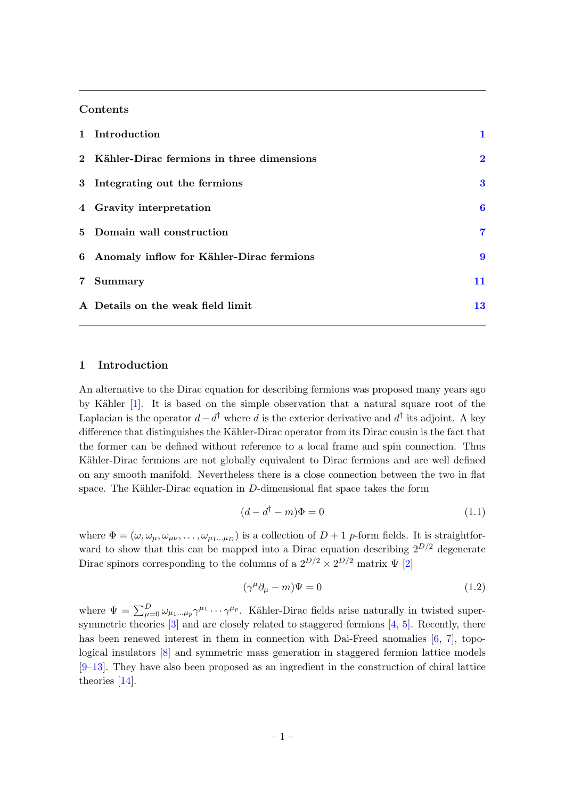# Contents

|            | 1 Introduction                              |          |
|------------|---------------------------------------------|----------|
|            | 2 Kähler-Dirac fermions in three dimensions | $\bf{2}$ |
|            | 3 Integrating out the fermions              | 3        |
|            | 4 Gravity interpretation                    | 6        |
|            | 5 Domain wall construction                  | 7        |
|            | 6 Anomaly inflow for Kähler-Dirac fermions  | 9        |
| $7\degree$ | Summary                                     | 11       |
|            | A Details on the weak field limit           | 13       |

# <span id="page-1-0"></span>1 Introduction

An alternative to the Dirac equation for describing fermions was proposed many years ago by Kähler [\[1\]](#page-13-1). It is based on the simple observation that a natural square root of the Laplacian is the operator  $d - d^{\dagger}$  where d is the exterior derivative and  $d^{\dagger}$  its adjoint. A key difference that distinguishes the Kähler-Dirac operator from its Dirac cousin is the fact that the former can be defined without reference to a local frame and spin connection. Thus Kähler-Dirac fermions are not globally equivalent to Dirac fermions and are well defined on any smooth manifold. Nevertheless there is a close connection between the two in flat space. The Kähler-Dirac equation in  $D$ -dimensional flat space takes the form

$$
(d - d^\dagger - m)\Phi = 0\tag{1.1}
$$

where  $\Phi = (\omega, \omega_{\mu}, \omega_{\mu\nu}, \dots, \omega_{\mu_1 \dots \mu_D})$  is a collection of  $D + 1$  p-form fields. It is straightforward to show that this can be mapped into a Dirac equation describing  $2^{D/2}$  degenerate Dirac spinors corresponding to the columns of a  $2^{D/2} \times 2^{D/2}$  matrix  $\Psi$  [\[2\]](#page-13-2)

$$
(\gamma^{\mu}\partial_{\mu} - m)\Psi = 0 \tag{1.2}
$$

where  $\Psi = \sum_{\mu=0}^D \omega_{\mu_1...\mu_p} \gamma^{\mu_1} \cdots \gamma^{\mu_p}$ . Kähler-Dirac fields arise naturally in twisted super-symmetric theories [\[3\]](#page-13-3) and are closely related to staggered fermions [\[4,](#page-13-4) [5\]](#page-13-5). Recently, there has been renewed interest in them in connection with Dai-Freed anomalies [\[6,](#page-13-6) [7\]](#page-14-0), topological insulators [\[8\]](#page-14-1) and symmetric mass generation in staggered fermion lattice models [\[9](#page-14-2)[–13\]](#page-14-3). They have also been proposed as an ingredient in the construction of chiral lattice theories [\[14\]](#page-14-4).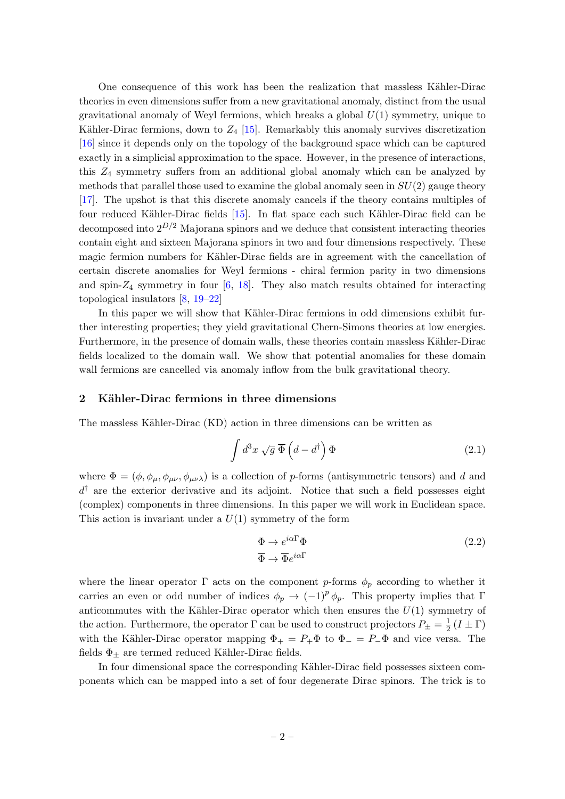One consequence of this work has been the realization that massless Kähler-Dirac theories in even dimensions suffer from a new gravitational anomaly, distinct from the usual gravitational anomaly of Weyl fermions, which breaks a global  $U(1)$  symmetry, unique to Kähler-Dirac fermions, down to  $Z_4$  [\[15\]](#page-14-5). Remarkably this anomaly survives discretization [\[16\]](#page-14-6) since it depends only on the topology of the background space which can be captured exactly in a simplicial approximation to the space. However, in the presence of interactions, this  $Z_4$  symmetry suffers from an additional global anomaly which can be analyzed by methods that parallel those used to examine the global anomaly seen in  $SU(2)$  gauge theory [\[17\]](#page-14-7). The upshot is that this discrete anomaly cancels if the theory contains multiples of four reduced Kähler-Dirac fields [\[15\]](#page-14-5). In flat space each such Kähler-Dirac field can be decomposed into  $2^{D/2}$  Majorana spinors and we deduce that consistent interacting theories contain eight and sixteen Majorana spinors in two and four dimensions respectively. These magic fermion numbers for Kähler-Dirac fields are in agreement with the cancellation of certain discrete anomalies for Weyl fermions - chiral fermion parity in two dimensions and spin- $Z_4$  symmetry in four [\[6,](#page-13-6) [18\]](#page-14-8). They also match results obtained for interacting topological insulators [\[8,](#page-14-1) [19–](#page-14-9)[22\]](#page-14-10)

In this paper we will show that Kähler-Dirac fermions in odd dimensions exhibit further interesting properties; they yield gravitational Chern-Simons theories at low energies. Furthermore, in the presence of domain walls, these theories contain massless Kähler-Dirac fields localized to the domain wall. We show that potential anomalies for these domain wall fermions are cancelled via anomaly inflow from the bulk gravitational theory.

## <span id="page-2-0"></span>2 Kähler-Dirac fermions in three dimensions

The massless Kähler-Dirac (KD) action in three dimensions can be written as

$$
\int d^3x \sqrt{g} \,\overline{\Phi}\left(d - d^{\dagger}\right) \Phi \tag{2.1}
$$

where  $\Phi = (\phi, \phi_\mu, \phi_{\mu\nu}, \phi_{\mu\nu\lambda})$  is a collection of p-forms (antisymmetric tensors) and d and  $d^{\dagger}$  are the exterior derivative and its adjoint. Notice that such a field possesses eight (complex) components in three dimensions. In this paper we will work in Euclidean space. This action is invariant under a  $U(1)$  symmetry of the form

$$
\Phi \to e^{i\alpha \Gamma} \Phi
$$
\n
$$
\overline{\Phi} \to \overline{\Phi} e^{i\alpha \Gamma}
$$
\n(2.2)

where the linear operator  $\Gamma$  acts on the component p-forms  $\phi_p$  according to whether it carries an even or odd number of indices  $\phi_p \to (-1)^p \phi_p$ . This property implies that Γ anticommutes with the Kähler-Dirac operator which then ensures the  $U(1)$  symmetry of the action. Furthermore, the operator  $\Gamma$  can be used to construct projectors  $P_{\pm} = \frac{1}{2}$  $\frac{1}{2}(I \pm \Gamma)$ with the Kähler-Dirac operator mapping  $\Phi_+ = P_+ \Phi$  to  $\Phi_- = P_- \Phi$  and vice versa. The fields  $\Phi_{\pm}$  are termed reduced Kähler-Dirac fields.

In four dimensional space the corresponding Kähler-Dirac field possesses sixteen components which can be mapped into a set of four degenerate Dirac spinors. The trick is to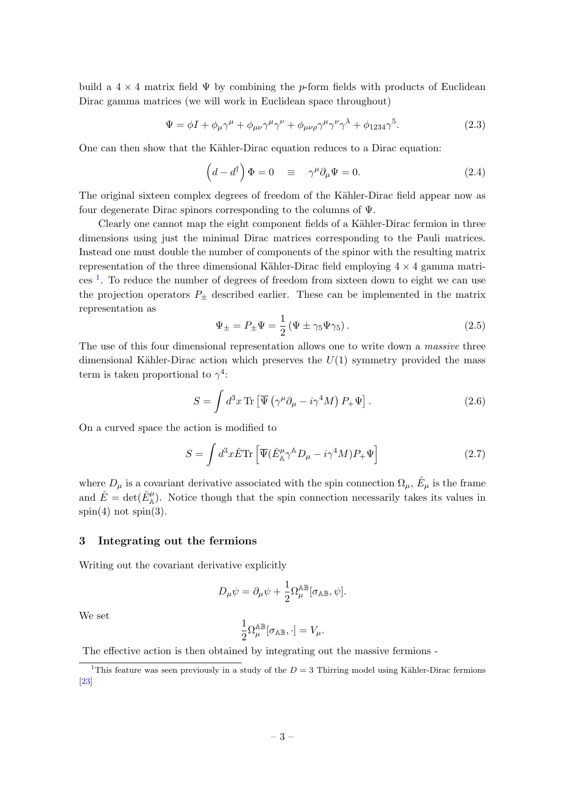build a  $4 \times 4$  matrix field  $\Psi$  by combining the p-form fields with products of Euclidean Dirac gamma matrices (we will work in Euclidean space throughout)

$$
\Psi = \phi I + \phi_{\mu} \gamma^{\mu} + \phi_{\mu\nu} \gamma^{\mu} \gamma^{\nu} + \phi_{\mu\nu\rho} \gamma^{\mu} \gamma^{\nu} \gamma^{\lambda} + \phi_{1234} \gamma^{5}.
$$
\n(2.3)

One can then show that the Kähler-Dirac equation reduces to a Dirac equation:

$$
\left(d - d^{\dagger}\right)\Phi = 0 \quad \equiv \quad \gamma^{\mu}\partial_{\mu}\Psi = 0. \tag{2.4}
$$

The original sixteen complex degrees of freedom of the Kähler-Dirac field appear now as four degenerate Dirac spinors corresponding to the columns of Ψ.

Clearly one cannot map the eight component fields of a Kähler-Dirac fermion in three dimensions using just the minimal Dirac matrices corresponding to the Pauli matrices. Instead one must double the number of components of the spinor with the resulting matrix representation of the three dimensional Kähler-Dirac field employing  $4 \times 4$  gamma matri-ces<sup>[1](#page-3-1)</sup>. To reduce the number of degrees of freedom from sixteen down to eight we can use the projection operators  $P_{\pm}$  described earlier. These can be implemented in the matrix representation as

$$
\Psi_{\pm} = P_{\pm}\Psi = \frac{1}{2} \left( \Psi \pm \gamma_5 \Psi \gamma_5 \right). \tag{2.5}
$$

The use of this four dimensional representation allows one to write down a *massive* three dimensional Kähler-Dirac action which preserves the  $U(1)$  symmetry provided the mass term is taken proportional to  $\gamma^4$ :

$$
S = \int d^3x \,\text{Tr}\left[\overline{\Psi}\left(\gamma^{\mu}\partial_{\mu} - i\gamma^4 M\right)P_{+}\Psi\right].\tag{2.6}
$$

On a curved space the action is modified to

$$
S = \int d^3x \hat{E} \text{Tr} \left[ \overline{\Psi} (\hat{E}_{\mathbb{A}}^{\mu} \gamma^{\mathbb{A}} D_{\mu} - i \gamma^4 M) P_{+} \Psi \right]
$$
 (2.7)

where  $D_{\mu}$  is a covariant derivative associated with the spin connection  $\Omega_{\mu}$ ,  $\hat{E}_{\mu}$  is the frame and  $\hat{E} = det(\hat{E}_{\mathbb{A}}^{\mu})$ . Notice though that the spin connection necessarily takes its values in  $spin(4)$  not  $spin(3)$ .

## <span id="page-3-0"></span>3 Integrating out the fermions

Writing out the covariant derivative explicitly

$$
D_{\mu}\psi = \partial_{\mu}\psi + \frac{1}{2}\Omega_{\mu}^{\mathbb{AB}}[\sigma_{\mathbb{AB}}, \psi].
$$

We set

$$
\frac{1}{2}\Omega^{\mathbb{AB}}_{\mu}[\sigma_{\mathbb{AB}},\cdot]=V_{\mu}.
$$

The effective action is then obtained by integrating out the massive fermions -

<span id="page-3-1"></span><sup>&</sup>lt;sup>1</sup>This feature was seen previously in a study of the  $D = 3$  Thirring model using Kähler-Dirac fermions [\[23\]](#page-14-11)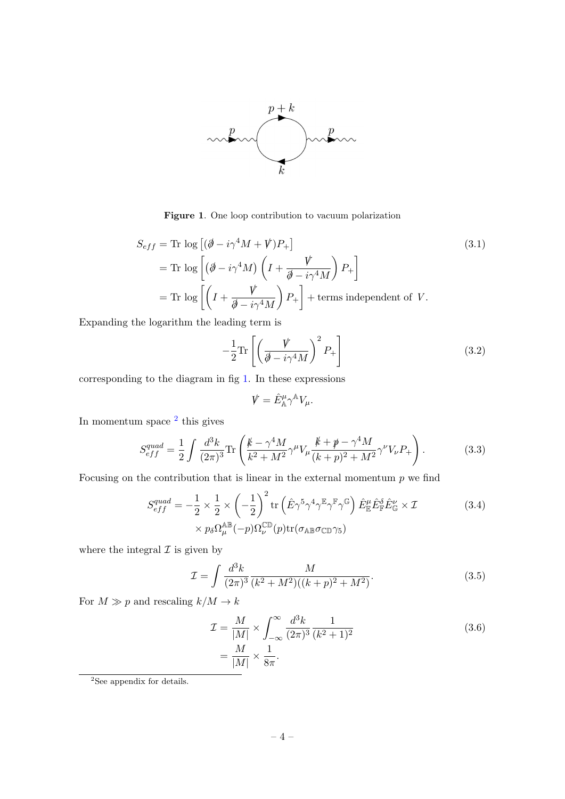

<span id="page-4-0"></span>Figure 1. One loop contribution to vacuum polarization

$$
S_{eff} = \text{Tr} \log \left[ (\partial - i\gamma^4 M + V) P_+ \right]
$$
  
=  $\text{Tr} \log \left[ (\partial - i\gamma^4 M) \left( I + \frac{V}{\partial - i\gamma^4 M} \right) P_+ \right]$   
=  $\text{Tr} \log \left[ \left( I + \frac{V}{\partial - i\gamma^4 M} \right) P_+ \right]$  + terms independent of V. (3.1)

Expanding the logarithm the leading term is

$$
-\frac{1}{2}\text{Tr}\left[\left(\frac{\dot{V}}{\dot{\theta} - i\gamma^4 M}\right)^2 P_+\right]
$$
\n(3.2)

corresponding to the diagram in fig [1.](#page-4-0) In these expressions

$$
\mathbf{V}=\hat{E}_{\mathbb{A}}^{\mu}\gamma^{\mathbb{A}}V_{\mu}.
$$

In momentum space <sup>[2](#page-4-1)</sup> this gives

$$
S_{eff}^{quad} = \frac{1}{2} \int \frac{d^3k}{(2\pi)^3} \text{Tr}\left(\frac{\cancel{k} - \gamma^4 M}{k^2 + M^2} \gamma^\mu V_\mu \frac{\cancel{k} + \cancel{p} - \gamma^4 M}{(k+p)^2 + M^2} \gamma^\nu V_\nu P_+\right). \tag{3.3}
$$

Focusing on the contribution that is linear in the external momentum  $p$  we find

$$
S_{eff}^{quad} = -\frac{1}{2} \times \frac{1}{2} \times \left( -\frac{1}{2} \right)^2 \text{tr} \left( \hat{E} \gamma^5 \gamma^4 \gamma^{\mathbb{F}} \gamma^{\mathbb{F}} \gamma^{\mathbb{G}} \right) \hat{E}_{\mathbb{E}}^{\mu} \hat{E}_{\mathbb{E}}^{\delta} \hat{E}_{\mathbb{G}}^{\nu} \times \mathcal{I} \times p_{\delta} \Omega_{\mu}^{\mathbb{AB}}(-p) \Omega_{\nu}^{\mathbb{CD}}(p) \text{tr}(\sigma_{\mathbb{AB}} \sigma_{\mathbb{CD}} \gamma_5)
$$
\n(3.4)

where the integral  $\mathcal I$  is given by

$$
\mathcal{I} = \int \frac{d^3k}{(2\pi)^3} \frac{M}{(k^2 + M^2)((k+p)^2 + M^2)}.
$$
\n(3.5)

For  $M \gg p$  and rescaling  $k/M \to k$ 

<span id="page-4-2"></span>
$$
\mathcal{I} = \frac{M}{|M|} \times \int_{-\infty}^{\infty} \frac{d^3k}{(2\pi)^3} \frac{1}{(k^2 + 1)^2} \n= \frac{M}{|M|} \times \frac{1}{8\pi}.
$$
\n(3.6)

<span id="page-4-1"></span> $2$ See appendix for details.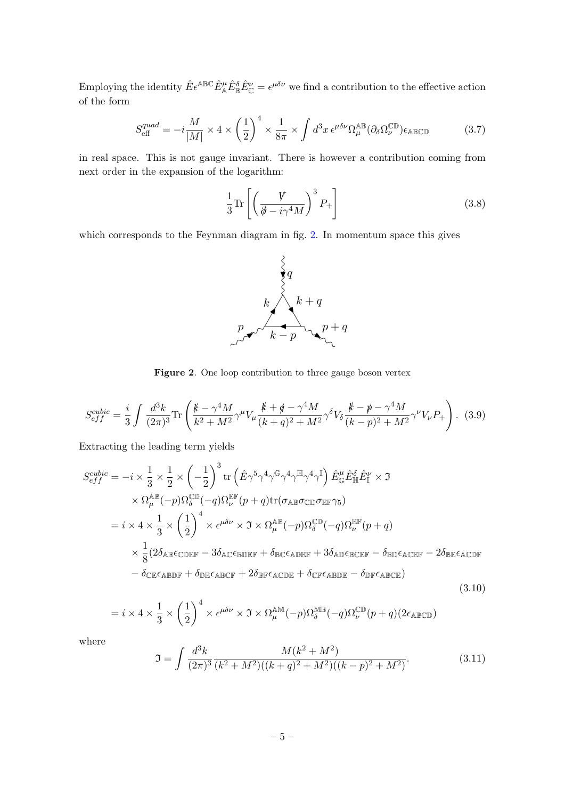Employing the identity  $\hat{E} \epsilon^{\mathbb{A}\mathbb{B}\mathbb{C}} \hat{E}^{\mu}_{\mathbb{A}} \hat{E}^{\delta}_{\mathbb{B}} \hat{E}^{\nu}_{\mathbb{C}} = \epsilon^{\mu \delta \nu}$  we find a contribution to the effective action of the form

<span id="page-5-1"></span>
$$
S_{\text{eff}}^{quad} = -i\frac{M}{|M|} \times 4 \times \left(\frac{1}{2}\right)^4 \times \frac{1}{8\pi} \times \int d^3x \,\epsilon^{\mu\delta\nu} \Omega_{\mu}^{\text{AB}} (\partial_{\delta}\Omega_{\nu}^{\mathbb{CD}}) \epsilon_{\text{ABCD}} \tag{3.7}
$$

in real space. This is not gauge invariant. There is however a contribution coming from next order in the expansion of the logarithm:

$$
\frac{1}{3}\text{Tr}\left[\left(\frac{\mathbf{V}}{\mathbf{\partial}-i\gamma^4 M}\right)^3 P_+\right]
$$
\n(3.8)

which corresponds to the Feynman diagram in fig. [2.](#page-5-0) In momentum space this gives



<span id="page-5-0"></span>Figure 2. One loop contribution to three gauge boson vertex

$$
S_{eff}^{cubic} = \frac{i}{3} \int \frac{d^3k}{(2\pi)^3} \text{Tr}\left(\frac{\cancel{k} - \gamma^4 M}{k^2 + M^2} \gamma^\mu V_\mu \frac{\cancel{k} + \cancel{q} - \gamma^4 M}{(k+q)^2 + M^2} \gamma^\delta V_\delta \frac{\cancel{k} - \cancel{p} - \gamma^4 M}{(k-p)^2 + M^2} \gamma^\nu V_\nu P_+\right). \tag{3.9}
$$

Extracting the leading term yields

$$
S_{eff}^{cubic} = -i \times \frac{1}{3} \times \frac{1}{2} \times \left(-\frac{1}{2}\right)^3 \text{tr}\left(\hat{E}\gamma^5 \gamma^4 \gamma^6 \gamma^4 \gamma^{\mathbb{H}} \gamma^4 \gamma^{\mathbb{I}}\right) \hat{E}_{\mathbb{G}}^{\mu} \hat{E}_{\mathbb{H}}^{\delta} \hat{E}_{\mathbb{H}}^{\nu} \times \mathfrak{I}
$$
  
\n
$$
\times \Omega_{\mu}^{\mathbb{AB}}(-p) \Omega_{\delta}^{\mathbb{CD}}(-q) \Omega_{\nu}^{\mathbb{EF}}(p+q) \text{tr}(\sigma_{\mathbb{AB}} \sigma_{\mathbb{CD}} \sigma_{\mathbb{EF}} \gamma_{5})
$$
  
\n
$$
= i \times 4 \times \frac{1}{3} \times \left(\frac{1}{2}\right)^4 \times \epsilon^{\mu \delta \nu} \times \mathfrak{I} \times \Omega_{\mu}^{\mathbb{AB}}(-p) \Omega_{\delta}^{\mathbb{CD}}(-q) \Omega_{\nu}^{\mathbb{EF}}(p+q)
$$
  
\n
$$
\times \frac{1}{8} (2\delta_{\mathbb{AB}} \epsilon_{\mathbb{CDEF}} - 3\delta_{\mathbb{AC}} \epsilon_{\mathbb{BDEF}} + \delta_{\mathbb{BC}} \epsilon_{\mathbb{ADEF}} + 3\delta_{\mathbb{AD}} \epsilon_{\mathbb{BCEF}} - \delta_{\mathbb{BD}} \epsilon_{\mathbb{ACEF}} - 2\delta_{\mathbb{BE}} \epsilon_{\mathbb{ACDF}} - \delta_{\mathbb{CE}} \epsilon_{\mathbb{ABDF}} + \delta_{\mathbb{DE}} \epsilon_{\mathbb{ABCF}} + 2\delta_{\mathbb{BE}} \epsilon_{\mathbb{ACDE}} + \delta_{\mathbb{CF}} \epsilon_{\mathbb{ABDE}} - \delta_{\mathbb{DF}} \epsilon_{\mathbb{ABCE}} \tag{3.10}
$$

$$
=i\times 4\times \frac{1}{3}\times \left(\frac{1}{2}\right)^4 \times \epsilon^{\mu\delta\nu}\times \mathfrak{I}\times \Omega_{\mu}^{\mathbb{AM}}(-p)\Omega_{\delta}^{\mathbb{MM}}(-q)\Omega_{\nu}^{\mathbb{CD}}(p+q)(2\epsilon_{\mathbb{A}\mathbb{B}\mathbb{C}\mathbb{D}})
$$

where

$$
\mathfrak{I} = \int \frac{d^3k}{(2\pi)^3} \frac{M(k^2 + M^2)}{(k^2 + M^2)((k+q)^2 + M^2)((k-p)^2 + M^2)}.
$$
\n(3.11)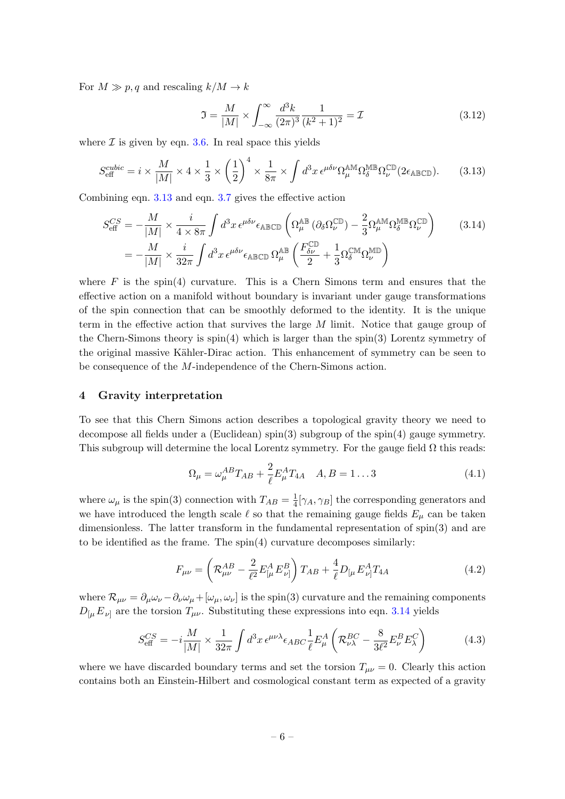For  $M \gg p, q$  and rescaling  $k/M \to k$ 

<span id="page-6-2"></span>
$$
\mathfrak{I} = \frac{M}{|M|} \times \int_{-\infty}^{\infty} \frac{d^3 k}{(2\pi)^3} \frac{1}{(k^2 + 1)^2} = \mathcal{I}
$$
 (3.12)

where  $\mathcal I$  is given by eqn. [3.6.](#page-4-2) In real space this yields

<span id="page-6-1"></span>
$$
S_{\text{eff}}^{cubic} = i \times \frac{M}{|M|} \times 4 \times \frac{1}{3} \times \left(\frac{1}{2}\right)^4 \times \frac{1}{8\pi} \times \int d^3x \, \epsilon^{\mu\delta\nu} \Omega_{\mu}^{\text{AM}} \Omega_{\delta}^{\text{MB}} \Omega_{\nu}^{\text{CD}} (2\epsilon_{\text{ABCD}}). \tag{3.13}
$$

Combining eqn. [3.13](#page-6-1) and eqn. [3.7](#page-5-1) gives the effective action

$$
S_{\text{eff}}^{CS} = -\frac{M}{|M|} \times \frac{i}{4 \times 8\pi} \int d^3x \,\epsilon^{\mu\delta\nu} \epsilon_{\text{ABCD}} \left( \Omega_{\mu}^{\text{AB}} \left( \partial_{\delta} \Omega_{\nu}^{\text{CD}} \right) - \frac{2}{3} \Omega_{\mu}^{\text{AM}} \Omega_{\delta}^{\text{MB}} \Omega_{\nu}^{\text{CD}} \right) \tag{3.14}
$$

$$
= -\frac{M}{|M|} \times \frac{i}{32\pi} \int d^3x \,\epsilon^{\mu\delta\nu} \epsilon_{\text{ABCD}} \,\Omega_{\mu}^{\text{AB}} \left( \frac{F_{\delta\nu}^{\text{CD}}}{2} + \frac{1}{3} \Omega_{\delta}^{\text{CM}} \Omega_{\nu}^{\text{MD}} \right)
$$

where  $F$  is the spin(4) curvature. This is a Chern Simons term and ensures that the effective action on a manifold without boundary is invariant under gauge transformations of the spin connection that can be smoothly deformed to the identity. It is the unique term in the effective action that survives the large M limit. Notice that gauge group of the Chern-Simons theory is spin(4) which is larger than the spin(3) Lorentz symmetry of the original massive Kähler-Dirac action. This enhancement of symmetry can be seen to be consequence of the M-independence of the Chern-Simons action.

## <span id="page-6-0"></span>4 Gravity interpretation

To see that this Chern Simons action describes a topological gravity theory we need to decompose all fields under a (Euclidean) spin(3) subgroup of the spin(4) gauge symmetry. This subgroup will determine the local Lorentz symmetry. For the gauge field  $\Omega$  this reads:

$$
\Omega_{\mu} = \omega_{\mu}^{AB} T_{AB} + \frac{2}{\ell} E_{\mu}^{A} T_{4A} \quad A, B = 1...3
$$
 (4.1)

where  $\omega_{\mu}$  is the spin(3) connection with  $T_{AB} = \frac{1}{4}$  $\frac{1}{4}[\gamma_A, \gamma_B]$  the corresponding generators and we have introduced the length scale  $\ell$  so that the remaining gauge fields  $E_{\mu}$  can be taken dimensionless. The latter transform in the fundamental representation of spin(3) and are to be identified as the frame. The spin(4) curvature decomposes similarly:

$$
F_{\mu\nu} = \left( \mathcal{R}^{AB}_{\mu\nu} - \frac{2}{\ell^2} E^A_{[\mu} E^B_{\nu]} \right) T_{AB} + \frac{4}{\ell} D_{[\mu} E^A_{\nu]} T_{4A} \tag{4.2}
$$

where  $\mathcal{R}_{\mu\nu} = \partial_{\mu}\omega_{\nu} - \partial_{\nu}\omega_{\mu} + [\omega_{\mu}, \omega_{\nu}]$  is the spin(3) curvature and the remaining components  $D_{\mu} E_{\nu}$  are the torsion  $T_{\mu\nu}$ . Substituting these expressions into eqn. [3.14](#page-6-2) yields

$$
S_{\text{eff}}^{CS} = -i\frac{M}{|M|} \times \frac{1}{32\pi} \int d^3x \,\epsilon^{\mu\nu\lambda} \epsilon_{ABC} \frac{1}{\ell} E^A_\mu \left( \mathcal{R}_{\nu\lambda}^{BC} - \frac{8}{3\ell^2} E^B_\nu E^C_\lambda \right) \tag{4.3}
$$

where we have discarded boundary terms and set the torsion  $T_{\mu\nu} = 0$ . Clearly this action contains both an Einstein-Hilbert and cosmological constant term as expected of a gravity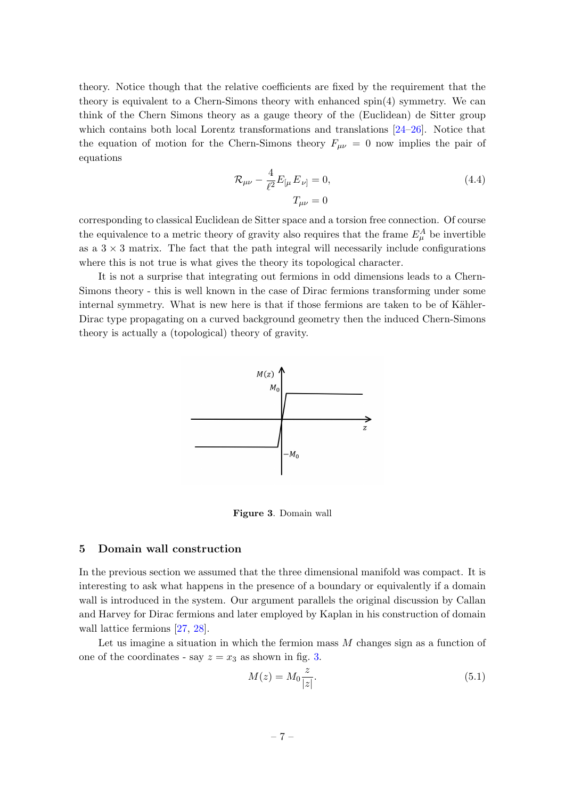theory. Notice though that the relative coefficients are fixed by the requirement that the theory is equivalent to a Chern-Simons theory with enhanced spin(4) symmetry. We can think of the Chern Simons theory as a gauge theory of the (Euclidean) de Sitter group which contains both local Lorentz transformations and translations [\[24–](#page-14-12)[26\]](#page-14-13). Notice that the equation of motion for the Chern-Simons theory  $F_{\mu\nu} = 0$  now implies the pair of equations

$$
\mathcal{R}_{\mu\nu} - \frac{4}{\ell^2} E_{[\mu} E_{\nu]} = 0, \tag{4.4}
$$
\n
$$
T_{\mu\nu} = 0
$$

corresponding to classical Euclidean de Sitter space and a torsion free connection. Of course the equivalence to a metric theory of gravity also requires that the frame  $E^A_\mu$  be invertible as a  $3 \times 3$  matrix. The fact that the path integral will necessarily include configurations where this is not true is what gives the theory its topological character.

It is not a surprise that integrating out fermions in odd dimensions leads to a Chern-Simons theory - this is well known in the case of Dirac fermions transforming under some internal symmetry. What is new here is that if those fermions are taken to be of Kähler-Dirac type propagating on a curved background geometry then the induced Chern-Simons theory is actually a (topological) theory of gravity.



<span id="page-7-1"></span>Figure 3. Domain wall

#### <span id="page-7-0"></span>5 Domain wall construction

In the previous section we assumed that the three dimensional manifold was compact. It is interesting to ask what happens in the presence of a boundary or equivalently if a domain wall is introduced in the system. Our argument parallels the original discussion by Callan and Harvey for Dirac fermions and later employed by Kaplan in his construction of domain wall lattice fermions [\[27,](#page-15-0) [28\]](#page-15-1).

Let us imagine a situation in which the fermion mass  $M$  changes sign as a function of one of the coordinates - say  $z = x_3$  as shown in fig. [3.](#page-7-1)

$$
M(z) = M_0 \frac{z}{|z|}.\tag{5.1}
$$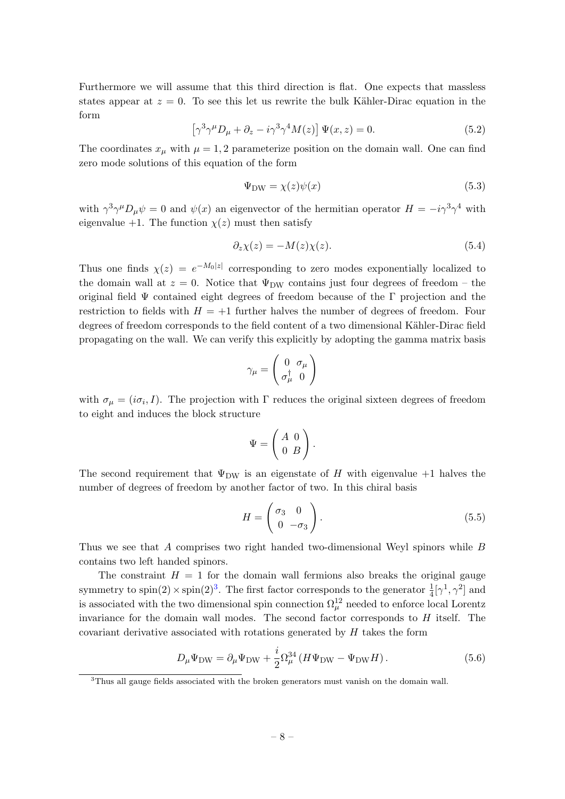Furthermore we will assume that this third direction is flat. One expects that massless states appear at  $z = 0$ . To see this let us rewrite the bulk Kähler-Dirac equation in the form

$$
\left[\gamma^3 \gamma^{\mu} D_{\mu} + \partial_z - i \gamma^3 \gamma^4 M(z)\right] \Psi(x, z) = 0.
$$
\n(5.2)

The coordinates  $x_{\mu}$  with  $\mu = 1, 2$  parameterize position on the domain wall. One can find zero mode solutions of this equation of the form

$$
\Psi_{\rm DW} = \chi(z)\psi(x) \tag{5.3}
$$

with  $\gamma^3 \gamma^{\mu} D_{\mu} \psi = 0$  and  $\psi(x)$  an eigenvector of the hermitian operator  $H = -i \gamma^3 \gamma^4$  with eigenvalue +1. The function  $\chi(z)$  must then satisfy

$$
\partial_z \chi(z) = -M(z)\chi(z). \tag{5.4}
$$

Thus one finds  $\chi(z) = e^{-M_0|z|}$  corresponding to zero modes exponentially localized to the domain wall at  $z = 0$ . Notice that  $\Psi_{DW}$  contains just four degrees of freedom – the original field  $\Psi$  contained eight degrees of freedom because of the Γ projection and the restriction to fields with  $H = +1$  further halves the number of degrees of freedom. Four degrees of freedom corresponds to the field content of a two dimensional Kähler-Dirac field propagating on the wall. We can verify this explicitly by adopting the gamma matrix basis

$$
\gamma_\mu = \left(\begin{array}{cc} 0 & \sigma_\mu \\ \sigma_\mu^\dagger & 0 \end{array}\right)
$$

with  $\sigma_{\mu} = (i\sigma_i, I)$ . The projection with  $\Gamma$  reduces the original sixteen degrees of freedom to eight and induces the block structure

$$
\Psi = \left(\begin{array}{cc} A & 0 \\ 0 & B \end{array}\right).
$$

The second requirement that  $\Psi_{DW}$  is an eigenstate of H with eigenvalue +1 halves the number of degrees of freedom by another factor of two. In this chiral basis

$$
H = \begin{pmatrix} \sigma_3 & 0 \\ 0 & -\sigma_3 \end{pmatrix} . \tag{5.5}
$$

Thus we see that A comprises two right handed two-dimensional Weyl spinors while B contains two left handed spinors.

The constraint  $H = 1$  for the domain wall fermions also breaks the original gauge symmetry to  $\text{spin}(2) \times \text{spin}(2)^3$  $\text{spin}(2) \times \text{spin}(2)^3$ . The first factor corresponds to the generator  $\frac{1}{4} [\gamma^1, \gamma^2]$  and is associated with the two dimensional spin connection  $\Omega^{12}_{\mu}$  needed to enforce local Lorentz invariance for the domain wall modes. The second factor corresponds to  $H$  itself. The covariant derivative associated with rotations generated by  $H$  takes the form

$$
D_{\mu}\Psi_{\rm DW} = \partial_{\mu}\Psi_{\rm DW} + \frac{i}{2}\Omega_{\mu}^{34} \left(H\Psi_{\rm DW} - \Psi_{\rm DW}H\right). \tag{5.6}
$$

<span id="page-8-0"></span><sup>&</sup>lt;sup>3</sup>Thus all gauge fields associated with the broken generators must vanish on the domain wall.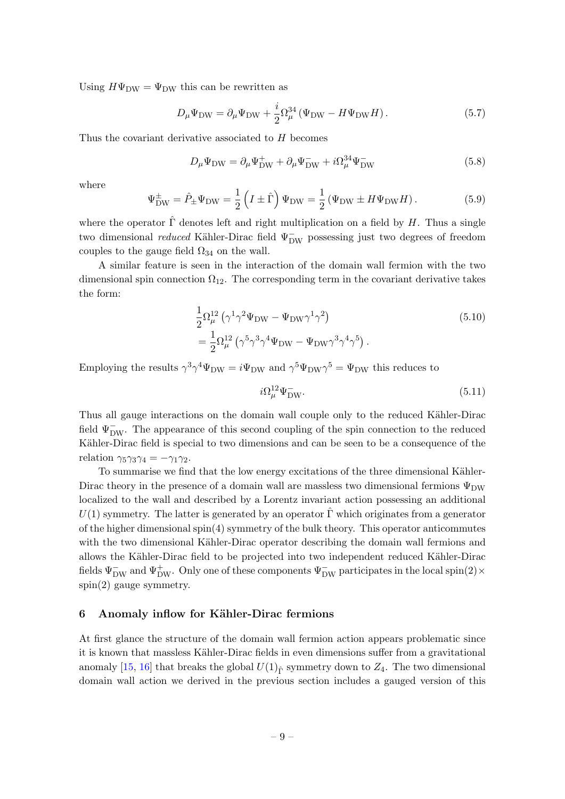Using  $H\Psi_{\text{DW}} = \Psi_{\text{DW}}$  this can be rewritten as

$$
D_{\mu}\Psi_{\rm DW} = \partial_{\mu}\Psi_{\rm DW} + \frac{i}{2}\Omega_{\mu}^{34} \left(\Psi_{\rm DW} - H\Psi_{\rm DW}H\right). \tag{5.7}
$$

Thus the covariant derivative associated to H becomes

$$
D_{\mu}\Psi_{\rm DW} = \partial_{\mu}\Psi_{\rm DW}^+ + \partial_{\mu}\Psi_{\rm DW}^- + i\Omega_{\mu}^{34}\Psi_{\rm DW}^- \tag{5.8}
$$

where

$$
\Psi_{\text{DW}}^{\pm} = \hat{P}_{\pm} \Psi_{\text{DW}} = \frac{1}{2} \left( I \pm \hat{\Gamma} \right) \Psi_{\text{DW}} = \frac{1}{2} \left( \Psi_{\text{DW}} \pm H \Psi_{\text{DW}} H \right). \tag{5.9}
$$

where the operator  $\hat{\Gamma}$  denotes left and right multiplication on a field by H. Thus a single two dimensional *reduced* Kähler-Dirac field  $\Psi_{DW}^-$  possessing just two degrees of freedom couples to the gauge field  $\Omega_{34}$  on the wall.

A similar feature is seen in the interaction of the domain wall fermion with the two dimensional spin connection  $\Omega_{12}$ . The corresponding term in the covariant derivative takes the form:

$$
\frac{1}{2}\Omega_{\mu}^{12} \left(\gamma^1 \gamma^2 \Psi_{DW} - \Psi_{DW}\gamma^1 \gamma^2\right)
$$
\n
$$
= \frac{1}{2}\Omega_{\mu}^{12} \left(\gamma^5 \gamma^3 \gamma^4 \Psi_{DW} - \Psi_{DW}\gamma^3 \gamma^4 \gamma^5\right).
$$
\n(5.10)

Employing the results  $\gamma^3 \gamma^4 \Psi_{\rm DW} = i\Psi_{\rm DW}$  and  $\gamma^5 \Psi_{\rm DW} \gamma^5 = \Psi_{\rm DW}$  this reduces to

$$
i\Omega_{\mu}^{12}\Psi_{\text{DW}}^{-}.\tag{5.11}
$$

Thus all gauge interactions on the domain wall couple only to the reduced Kähler-Dirac field  $\Psi_{DW}^-$ . The appearance of this second coupling of the spin connection to the reduced Kähler-Dirac field is special to two dimensions and can be seen to be a consequence of the relation  $\gamma_5\gamma_3\gamma_4 = -\gamma_1\gamma_2$ .

To summarise we find that the low energy excitations of the three dimensional Kähler-Dirac theory in the presence of a domain wall are massless two dimensional fermions  $\Psi_{\text{DW}}$ localized to the wall and described by a Lorentz invariant action possessing an additional  $U(1)$  symmetry. The latter is generated by an operator  $\hat{\Gamma}$  which originates from a generator of the higher dimensional spin(4) symmetry of the bulk theory. This operator anticommutes with the two dimensional Kähler-Dirac operator describing the domain wall fermions and allows the Kähler-Dirac field to be projected into two independent reduced Kähler-Dirac fields  $\Psi_{\rm DW}^-$  and  $\Psi_{\rm DW}^+$ . Only one of these components  $\Psi_{\rm DW}^-$  participates in the local spin(2)×  $spin(2)$  gauge symmetry.

# <span id="page-9-0"></span>6 Anomaly inflow for Kähler-Dirac fermions

At first glance the structure of the domain wall fermion action appears problematic since it is known that massless Kähler-Dirac fields in even dimensions suffer from a gravitational anomaly [\[15,](#page-14-5) [16\]](#page-14-6) that breaks the global  $U(1)_{\hat{r}}$  symmetry down to  $Z_4$ . The two dimensional domain wall action we derived in the previous section includes a gauged version of this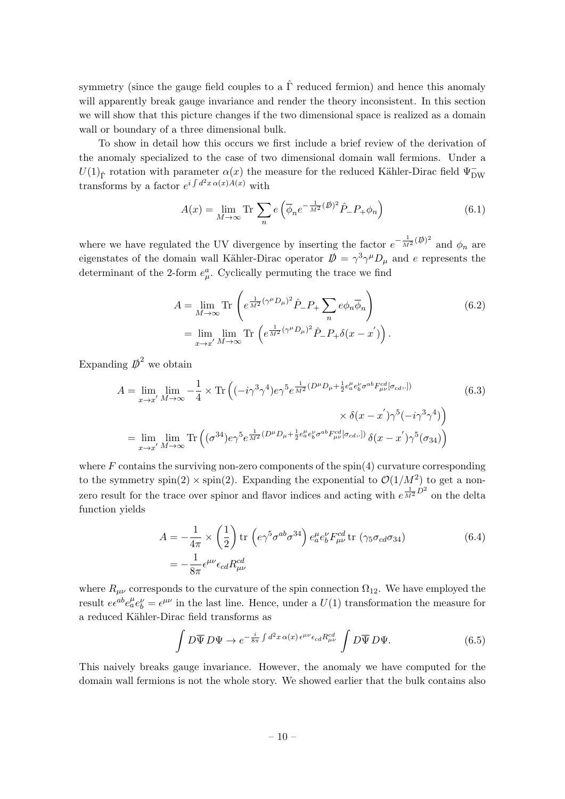symmetry (since the gauge field couples to a  $\hat{\Gamma}$  reduced fermion) and hence this anomaly will apparently break gauge invariance and render the theory inconsistent. In this section we will show that this picture changes if the two dimensional space is realized as a domain wall or boundary of a three dimensional bulk.

To show in detail how this occurs we first include a brief review of the derivation of the anomaly specialized to the case of two dimensional domain wall fermions. Under a  $U(1)$ <sub> $\hat{\Gamma}$ </sub> rotation with parameter  $\alpha(x)$  the measure for the reduced Kähler-Dirac field  $\Psi$ <sub>DW</sub> transforms by a factor  $e^{i \int d^2x \alpha(x)A(x)}$  with

$$
A(x) = \lim_{M \to \infty} \text{Tr} \sum_{n} e\left(\overline{\phi}_n e^{-\frac{1}{M^2}(\not{D})^2} \hat{P}_- P_+ \phi_n\right)
$$
(6.1)

where we have regulated the UV divergence by inserting the factor  $e^{-\frac{1}{M^2}(\phi)^2}$  and  $\phi_n$  are eigenstates of the domain wall Kähler-Dirac operator  $\dot{\psi} = \gamma^3 \gamma^{\mu} D_{\mu}$  and e represents the determinant of the 2-form  $e^a_\mu$ . Cyclically permuting the trace we find

$$
A = \lim_{M \to \infty} \text{Tr} \left( e^{\frac{1}{M^2} (\gamma^{\mu} D_{\mu})^2} \hat{P}_{-} P_{+} \sum_{n} e \phi_{n} \overline{\phi}_{n} \right)
$$
  
= 
$$
\lim_{x \to x'} \lim_{M \to \infty} \text{Tr} \left( e^{\frac{1}{M^2} (\gamma^{\mu} D_{\mu})^2} \hat{P}_{-} P_{+} \delta(x - x') \right).
$$
 (6.2)

Expanding  $\mathbf{D}^2$  we obtain

$$
A = \lim_{x \to x'} \lim_{M \to \infty} -\frac{1}{4} \times \text{Tr}\left( (-i\gamma^3 \gamma^4) e \gamma^5 e^{\frac{1}{M^2} (D^\mu D_\mu + \frac{1}{2} e_a^\mu e_b^\nu \sigma^{ab} F_{\mu\nu}^{cd} [\sigma_{cd, \cdot}] )} \times \delta(x - x') \gamma^5 (-i\gamma^3 \gamma^4) \right)
$$
  
= 
$$
\lim_{x \to x'} \lim_{M \to \infty} \text{Tr}\left( (\sigma^{34}) e \gamma^5 e^{\frac{1}{M^2} (D^\mu D_\mu + \frac{1}{2} e_a^\mu e_b^\nu \sigma^{ab} F_{\mu\nu}^{cd} [\sigma_{cd, \cdot}] )} \delta(x - x') \gamma^5 (\sigma_{34}) \right)
$$
(6.3)

where  $F$  contains the surviving non-zero components of the spin(4) curvature corresponding to the symmetry spin(2)  $\times$  spin(2). Expanding the exponential to  $\mathcal{O}(1/M^2)$  to get a nonzero result for the trace over spinor and flavor indices and acting with  $e^{\frac{1}{M^2}D^2}$  on the delta function yields

$$
A = -\frac{1}{4\pi} \times \left(\frac{1}{2}\right) \text{tr}\left(e\gamma^5 \sigma^{ab} \sigma^{34}\right) e_a^\mu e_b^\nu F_{\mu\nu}^{cd} \text{tr}\left(\gamma_5 \sigma_{cd} \sigma_{34}\right)
$$
  
= 
$$
-\frac{1}{8\pi} \epsilon^{\mu\nu} \epsilon_{cd} R_{\mu\nu}^{cd}
$$
(6.4)

where  $R_{\mu\nu}$  corresponds to the curvature of the spin connection  $\Omega_{12}$ . We have employed the result  $ee^{ab}e^{\mu}_a e^{\nu}_b = \epsilon^{\mu\nu}$  in the last line. Hence, under a  $U(1)$  transformation the measure for a reduced Kähler-Dirac field transforms as

<span id="page-10-0"></span>
$$
\int D\overline{\Psi} D\Psi \to e^{-\frac{i}{8\pi} \int d^2x \,\alpha(x) \,\epsilon^{\mu\nu}\epsilon_{cd}R_{\mu\nu}^{cd}} \int D\overline{\Psi} D\Psi. \tag{6.5}
$$

This naively breaks gauge invariance. However, the anomaly we have computed for the domain wall fermions is not the whole story. We showed earlier that the bulk contains also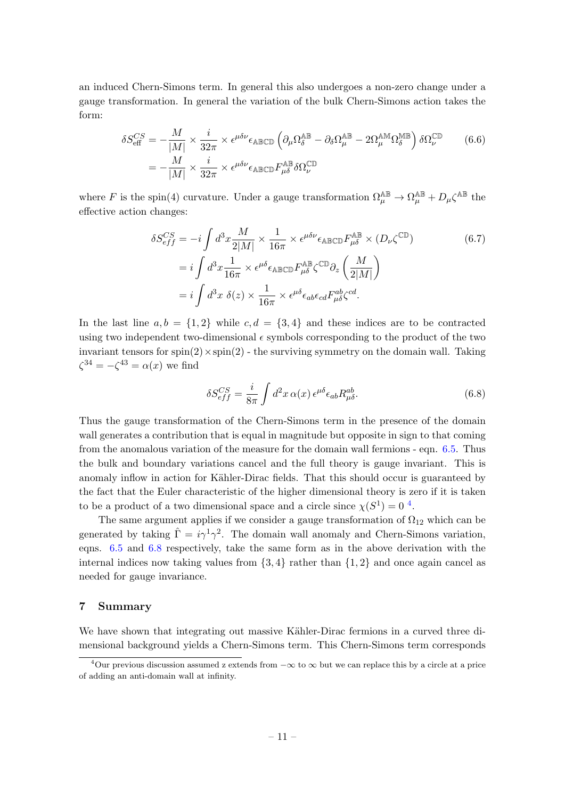an induced Chern-Simons term. In general this also undergoes a non-zero change under a gauge transformation. In general the variation of the bulk Chern-Simons action takes the form:

$$
\delta S_{\text{eff}}^{CS} = -\frac{M}{|M|} \times \frac{i}{32\pi} \times \epsilon^{\mu\delta\nu} \epsilon_{\text{ABCD}} \left( \partial_{\mu} \Omega_{\delta}^{\text{AB}} - \partial_{\delta} \Omega_{\mu}^{\text{AB}} - 2\Omega_{\mu}^{\text{AM}} \Omega_{\delta}^{\text{MB}} \right) \delta \Omega_{\nu}^{\text{CD}} \tag{6.6}
$$

$$
= -\frac{M}{|M|} \times \frac{i}{32\pi} \times \epsilon^{\mu\delta\nu} \epsilon_{\text{ABCD}} F_{\mu\delta}^{\text{AB}} \delta \Omega_{\nu}^{\text{CD}}
$$

where F is the spin(4) curvature. Under a gauge transformation  $\Omega_{\mu}^{\mathbb{AB}} \to \Omega_{\mu}^{\mathbb{AB}} + D_{\mu} \zeta^{\mathbb{AB}}$  the effective action changes:

$$
\delta S_{eff}^{CS} = -i \int d^3 x \frac{M}{2|M|} \times \frac{1}{16\pi} \times \epsilon^{\mu\delta\nu} \epsilon_{\text{ABCD}} F_{\mu\delta}^{\text{AB}} \times (D_{\nu} \zeta^{\text{CD}})
$$
\n
$$
= i \int d^3 x \frac{1}{16\pi} \times \epsilon^{\mu\delta} \epsilon_{\text{ABCD}} F_{\mu\delta}^{\text{AB}} \zeta^{\text{CD}} \partial_z \left(\frac{M}{2|M|}\right)
$$
\n
$$
= i \int d^3 x \ \delta(z) \times \frac{1}{16\pi} \times \epsilon^{\mu\delta} \epsilon_{ab} \epsilon_{cd} F_{\mu\delta}^{ab} \zeta^{cd}.
$$
\n(6.7)

In the last line  $a, b = \{1, 2\}$  while  $c, d = \{3, 4\}$  and these indices are to be contracted using two independent two-dimensional  $\epsilon$  symbols corresponding to the product of the two invariant tensors for  $spin(2) \times spin(2)$  - the surviving symmetry on the domain wall. Taking  $\zeta^{34} = -\zeta^{43} = \alpha(x)$  we find

<span id="page-11-2"></span>
$$
\delta S_{eff}^{CS} = \frac{i}{8\pi} \int d^2x \,\alpha(x) \,\epsilon^{\mu\delta} \epsilon_{ab} R_{\mu\delta}^{ab}.\tag{6.8}
$$

Thus the gauge transformation of the Chern-Simons term in the presence of the domain wall generates a contribution that is equal in magnitude but opposite in sign to that coming from the anomalous variation of the measure for the domain wall fermions - eqn. [6.5.](#page-10-0) Thus the bulk and boundary variations cancel and the full theory is gauge invariant. This is anomaly inflow in action for Kähler-Dirac fields. That this should occur is guaranteed by the fact that the Euler characteristic of the higher dimensional theory is zero if it is taken to be a product of a two dimensional space and a circle since  $\chi(S^1) = 0$ <sup>[4](#page-11-1)</sup>.

The same argument applies if we consider a gauge transformation of  $\Omega_{12}$  which can be generated by taking  $\hat{\Gamma} = i \gamma^1 \gamma^2$ . The domain wall anomaly and Chern-Simons variation, eqns. [6.5](#page-10-0) and [6.8](#page-11-2) respectively, take the same form as in the above derivation with the internal indices now taking values from  $\{3, 4\}$  rather than  $\{1, 2\}$  and once again cancel as needed for gauge invariance.

# <span id="page-11-0"></span>7 Summary

We have shown that integrating out massive Kähler-Dirac fermions in a curved three dimensional background yields a Chern-Simons term. This Chern-Simons term corresponds

<span id="page-11-1"></span> $40$ ur previous discussion assumed z extends from  $-\infty$  to  $\infty$  but we can replace this by a circle at a price of adding an anti-domain wall at infinity.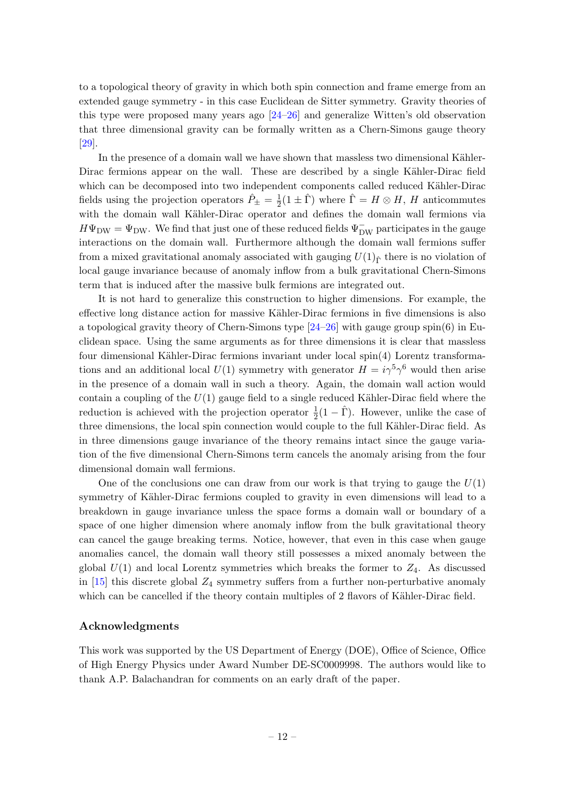to a topological theory of gravity in which both spin connection and frame emerge from an extended gauge symmetry - in this case Euclidean de Sitter symmetry. Gravity theories of this type were proposed many years ago [\[24](#page-14-12)[–26\]](#page-14-13) and generalize Witten's old observation that three dimensional gravity can be formally written as a Chern-Simons gauge theory [\[29\]](#page-15-2).

In the presence of a domain wall we have shown that massless two dimensional Kähler-Dirac fermions appear on the wall. These are described by a single Kähler-Dirac field which can be decomposed into two independent components called reduced Kähler-Dirac fields using the projection operators  $\hat{P}_{\pm} = \frac{1}{2}$  $\frac{1}{2}(1 \pm \hat{\Gamma})$  where  $\hat{\Gamma} = H \otimes H$ , H anticommutes with the domain wall Kähler-Dirac operator and defines the domain wall fermions via  $H\Psi_{\rm DW} = \Psi_{\rm DW}$ . We find that just one of these reduced fields  $\Psi_{\rm DW}^-$  participates in the gauge interactions on the domain wall. Furthermore although the domain wall fermions suffer from a mixed gravitational anomaly associated with gauging  $U(1)_{\hat{r}}$  there is no violation of local gauge invariance because of anomaly inflow from a bulk gravitational Chern-Simons term that is induced after the massive bulk fermions are integrated out.

It is not hard to generalize this construction to higher dimensions. For example, the effective long distance action for massive Kähler-Dirac fermions in five dimensions is also a topological gravity theory of Chern-Simons type [\[24–](#page-14-12)[26\]](#page-14-13) with gauge group spin(6) in Euclidean space. Using the same arguments as for three dimensions it is clear that massless four dimensional Kähler-Dirac fermions invariant under local  $spin(4)$  Lorentz transformations and an additional local  $U(1)$  symmetry with generator  $H = i\gamma^5 \gamma^6$  would then arise in the presence of a domain wall in such a theory. Again, the domain wall action would contain a coupling of the  $U(1)$  gauge field to a single reduced Kähler-Dirac field where the reduction is achieved with the projection operator  $\frac{1}{2}(1-\hat{\Gamma})$ . However, unlike the case of three dimensions, the local spin connection would couple to the full Kähler-Dirac field. As in three dimensions gauge invariance of the theory remains intact since the gauge variation of the five dimensional Chern-Simons term cancels the anomaly arising from the four dimensional domain wall fermions.

One of the conclusions one can draw from our work is that trying to gauge the  $U(1)$ symmetry of Kähler-Dirac fermions coupled to gravity in even dimensions will lead to a breakdown in gauge invariance unless the space forms a domain wall or boundary of a space of one higher dimension where anomaly inflow from the bulk gravitational theory can cancel the gauge breaking terms. Notice, however, that even in this case when gauge anomalies cancel, the domain wall theory still possesses a mixed anomaly between the global  $U(1)$  and local Lorentz symmetries which breaks the former to  $Z_4$ . As discussed in  $[15]$  this discrete global  $Z_4$  symmetry suffers from a further non-perturbative anomaly which can be cancelled if the theory contain multiples of 2 flavors of Kähler-Dirac field.

## Acknowledgments

This work was supported by the US Department of Energy (DOE), Office of Science, Office of High Energy Physics under Award Number DE-SC0009998. The authors would like to thank A.P. Balachandran for comments on an early draft of the paper.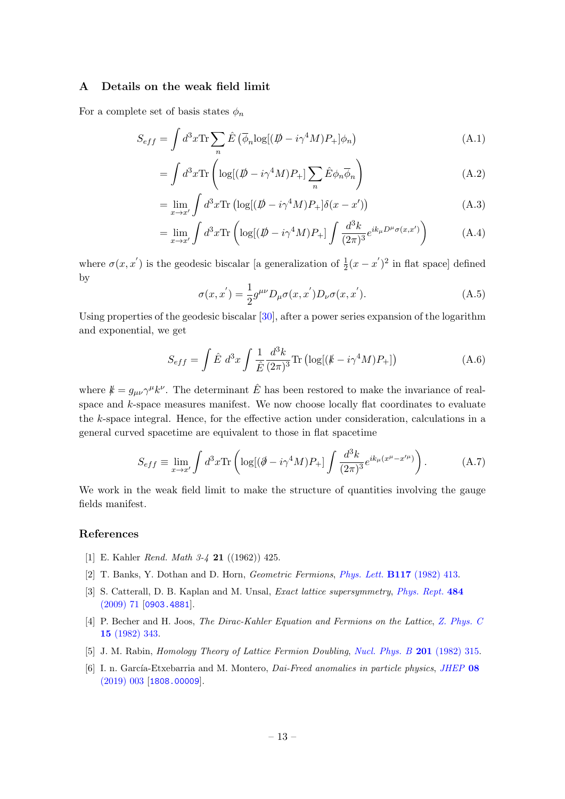## <span id="page-13-0"></span>A Details on the weak field limit

For a complete set of basis states  $\phi_n$ 

$$
S_{eff} = \int d^3x \text{Tr} \sum_n \hat{E} \left( \overline{\phi}_n \log[(\not{D} - i\gamma^4 M)P_+] \phi_n \right) \tag{A.1}
$$

$$
= \int d^3x \text{Tr} \left( \log[(\not{D} - i\gamma^4 M)P_+] \sum_n \hat{E} \phi_n \overline{\phi}_n \right) \tag{A.2}
$$

$$
= \lim_{x \to x'} \int d^3x \text{Tr} \left( \log[(\not{D} - i\gamma^4 M)P_+]\delta(x - x') \right) \tag{A.3}
$$

$$
= \lim_{x \to x'} \int d^3x \text{Tr} \left( \log[(\not{D} - i\gamma^4 M)P_+] \int \frac{d^3k}{(2\pi)^3} e^{ik_\mu D^\mu \sigma(x, x')} \right) \tag{A.4}
$$

where  $\sigma(x, x')$  is the geodesic biscalar [a generalization of  $\frac{1}{2}(x - x')^2$  in flat space] defined by

$$
\sigma(x, x') = \frac{1}{2} g^{\mu\nu} D_{\mu} \sigma(x, x') D_{\nu} \sigma(x, x').
$$
 (A.5)

Using properties of the geodesic biscalar [\[30\]](#page-15-3), after a power series expansion of the logarithm and exponential, we get

$$
S_{eff} = \int \hat{E} d^3x \int \frac{1}{\hat{E}} \frac{d^3k}{(2\pi)^3} \text{Tr} \left( \log[(k - i\gamma^4 M)P_+]\right) \tag{A.6}
$$

where  $k = g_{\mu\nu} \gamma^{\mu} k^{\nu}$ . The determinant  $\hat{E}$  has been restored to make the invariance of realspace and k-space measures manifest. We now choose locally flat coordinates to evaluate the k-space integral. Hence, for the effective action under consideration, calculations in a general curved spacetime are equivalent to those in flat spacetime

$$
S_{eff} \equiv \lim_{x \to x'} \int d^3x \text{Tr} \left( \log[(\partial - i\gamma^4 M)P_+] \int \frac{d^3k}{(2\pi)^3} e^{ik_\mu(x^\mu - x'^\mu)} \right). \tag{A.7}
$$

We work in the weak field limit to make the structure of quantities involving the gauge fields manifest.

# References

- <span id="page-13-1"></span>[1] E. Kahler Rend. Math 3-4 21 ((1962)) 425.
- <span id="page-13-2"></span>[2] T. Banks, Y. Dothan and D. Horn, Geometric Fermions, Phys. Lett. B117 [\(1982\) 413.](https://doi.org/10.1016/0370-2693(82)90571-8)
- <span id="page-13-3"></span>[3] S. Catterall, D. B. Kaplan and M. Unsal, *Exact lattice supersymmetry, [Phys. Rept.](https://doi.org/10.1016/j.physrep.2009.09.001)* 484 [\(2009\) 71](https://doi.org/10.1016/j.physrep.2009.09.001) [[0903.4881](https://arxiv.org/abs/0903.4881)].
- <span id="page-13-4"></span>[4] P. Becher and H. Joos, The Dirac-Kahler Equation and Fermions on the Lattice, [Z. Phys. C](https://doi.org/10.1007/BF01614426) 15 [\(1982\) 343.](https://doi.org/10.1007/BF01614426)
- <span id="page-13-5"></span>[5] J. M. Rabin, Homology Theory of Lattice Fermion Doubling, [Nucl. Phys. B](https://doi.org/10.1016/0550-3213(82)90434-5) 201 (1982) 315.
- <span id="page-13-6"></span>[6] I. n. García-Etxebarria and M. Montero, *Dai-Freed anomalies in particle physics*, *[JHEP](https://doi.org/10.1007/JHEP08(2019)003)* 08 [\(2019\) 003](https://doi.org/10.1007/JHEP08(2019)003) [[1808.00009](https://arxiv.org/abs/1808.00009)].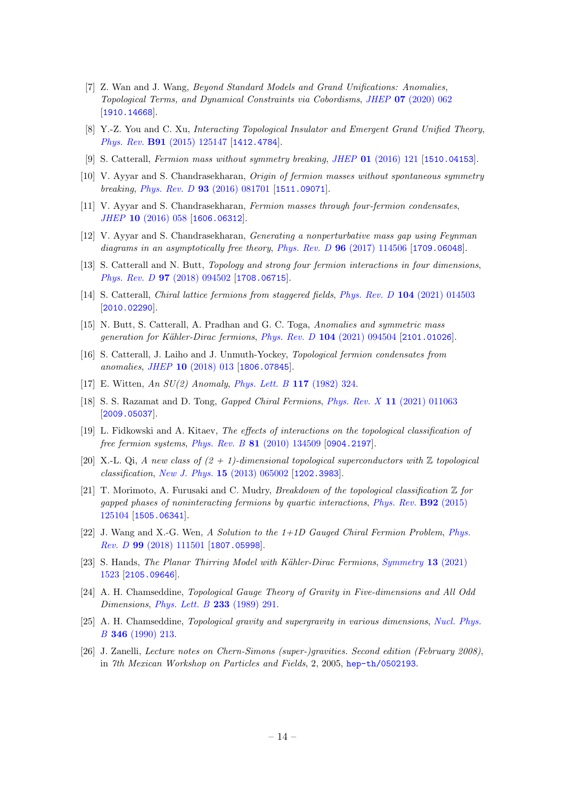- <span id="page-14-0"></span>[7] Z. Wan and J. Wang, Beyond Standard Models and Grand Unifications: Anomalies, Topological Terms, and Dynamical Constraints via Cobordisms, JHEP 07 [\(2020\) 062](https://doi.org/10.1007/JHEP07(2020)062) [[1910.14668](https://arxiv.org/abs/1910.14668)].
- <span id="page-14-1"></span>[8] Y.-Z. You and C. Xu, Interacting Topological Insulator and Emergent Grand Unified Theory, Phys. Rev. B91 [\(2015\) 125147](https://doi.org/10.1103/PhysRevB.91.125147) [[1412.4784](https://arxiv.org/abs/1412.4784)].
- <span id="page-14-2"></span>[9] S. Catterall, Fermion mass without symmetry breaking, JHEP 01 [\(2016\) 121](https://doi.org/10.1007/JHEP01(2016)121) [[1510.04153](https://arxiv.org/abs/1510.04153)].
- [10] V. Ayyar and S. Chandrasekharan, Origin of fermion masses without spontaneous symmetry breaking, Phys. Rev. D 93 [\(2016\) 081701](https://doi.org/10.1103/PhysRevD.93.081701) [[1511.09071](https://arxiv.org/abs/1511.09071)].
- [11] V. Ayyar and S. Chandrasekharan, Fermion masses through four-fermion condensates, JHEP 10 [\(2016\) 058](https://doi.org/10.1007/JHEP10(2016)058) [[1606.06312](https://arxiv.org/abs/1606.06312)].
- [12] V. Ayyar and S. Chandrasekharan, Generating a nonperturbative mass gap using Feynman diagrams in an asymptotically free theory, Phys. Rev. D  $96$  [\(2017\) 114506](https://doi.org/10.1103/PhysRevD.96.114506) [[1709.06048](https://arxiv.org/abs/1709.06048)].
- <span id="page-14-3"></span>[13] S. Catterall and N. Butt, *Topology and strong four fermion interactions in four dimensions*, Phys. Rev. D 97 [\(2018\) 094502](https://doi.org/10.1103/PhysRevD.97.094502) [[1708.06715](https://arxiv.org/abs/1708.06715)].
- <span id="page-14-4"></span>[14] S. Catterall, *Chiral lattice fermions from staggered fields, Phys. Rev. D* 104 [\(2021\) 014503](https://doi.org/10.1103/PhysRevD.104.014503) [[2010.02290](https://arxiv.org/abs/2010.02290)].
- <span id="page-14-5"></span>[15] N. Butt, S. Catterall, A. Pradhan and G. C. Toga, Anomalies and symmetric mass generation for Kähler-Dirac fermions, Phys. Rev. D 104 [\(2021\) 094504](https://doi.org/10.1103/PhysRevD.104.094504) [[2101.01026](https://arxiv.org/abs/2101.01026)].
- <span id="page-14-6"></span>[16] S. Catterall, J. Laiho and J. Unmuth-Yockey, Topological fermion condensates from anomalies, JHEP 10 [\(2018\) 013](https://doi.org/10.1007/JHEP10(2018)013) [[1806.07845](https://arxiv.org/abs/1806.07845)].
- <span id="page-14-7"></span>[17] E. Witten, An SU(2) Anomaly, [Phys. Lett. B](https://doi.org/10.1016/0370-2693(82)90728-6) 117 (1982) 324.
- <span id="page-14-8"></span>[18] S. S. Razamat and D. Tong, Gapped Chiral Fermions, Phys. Rev. X 11 [\(2021\) 011063](https://doi.org/10.1103/PhysRevX.11.011063) [[2009.05037](https://arxiv.org/abs/2009.05037)].
- <span id="page-14-9"></span>[19] L. Fidkowski and A. Kitaev, The effects of interactions on the topological classification of free fermion systems, Phys. Rev. B 81 [\(2010\) 134509](https://doi.org/10.1103/PhysRevB.81.134509) [[0904.2197](https://arxiv.org/abs/0904.2197)].
- [20] X.-L. Qi, A new class of  $(2 + 1)$ -dimensional topological superconductors with  $\mathbb Z$  topological classification, New J. Phys. 15 [\(2013\) 065002](https://doi.org/10.1088/1367-2630/15/6/065002) [[1202.3983](https://arxiv.org/abs/1202.3983)].
- [21] T. Morimoto, A. Furusaki and C. Mudry, Breakdown of the topological classification Z for gapped phases of noninteracting fermions by quartic interactions, [Phys. Rev.](https://doi.org/10.1103/PhysRevB.92.125104) B92 (2015) [125104](https://doi.org/10.1103/PhysRevB.92.125104) [[1505.06341](https://arxiv.org/abs/1505.06341)].
- <span id="page-14-10"></span>[22] J. Wang and X.-G. Wen, A Solution to the  $1+1D$  Gauged Chiral Fermion Problem, [Phys.](https://doi.org/10.1103/PhysRevD.99.111501) Rev. D 99 [\(2018\) 111501](https://doi.org/10.1103/PhysRevD.99.111501) [[1807.05998](https://arxiv.org/abs/1807.05998)].
- <span id="page-14-11"></span>[23] S. Hands, *The Planar Thirring Model with Kähler-Dirac Fermions, [Symmetry](https://doi.org/10.3390/sym13081523)* 13 (2021) [1523](https://doi.org/10.3390/sym13081523) [[2105.09646](https://arxiv.org/abs/2105.09646)].
- <span id="page-14-12"></span>[24] A. H. Chamseddine, Topological Gauge Theory of Gravity in Five-dimensions and All Odd Dimensions, [Phys. Lett. B](https://doi.org/10.1016/0370-2693(89)91312-9) 233 (1989) 291.
- [25] A. H. Chamseddine, Topological gravity and supergravity in various dimensions, [Nucl. Phys.](https://doi.org/10.1016/0550-3213(90)90245-9) B 346 [\(1990\) 213.](https://doi.org/10.1016/0550-3213(90)90245-9)
- <span id="page-14-13"></span>[26] J. Zanelli, Lecture notes on Chern-Simons (super-)gravities. Second edition (February 2008), in 7th Mexican Workshop on Particles and Fields, 2, 2005, [hep-th/0502193](https://arxiv.org/abs/hep-th/0502193).